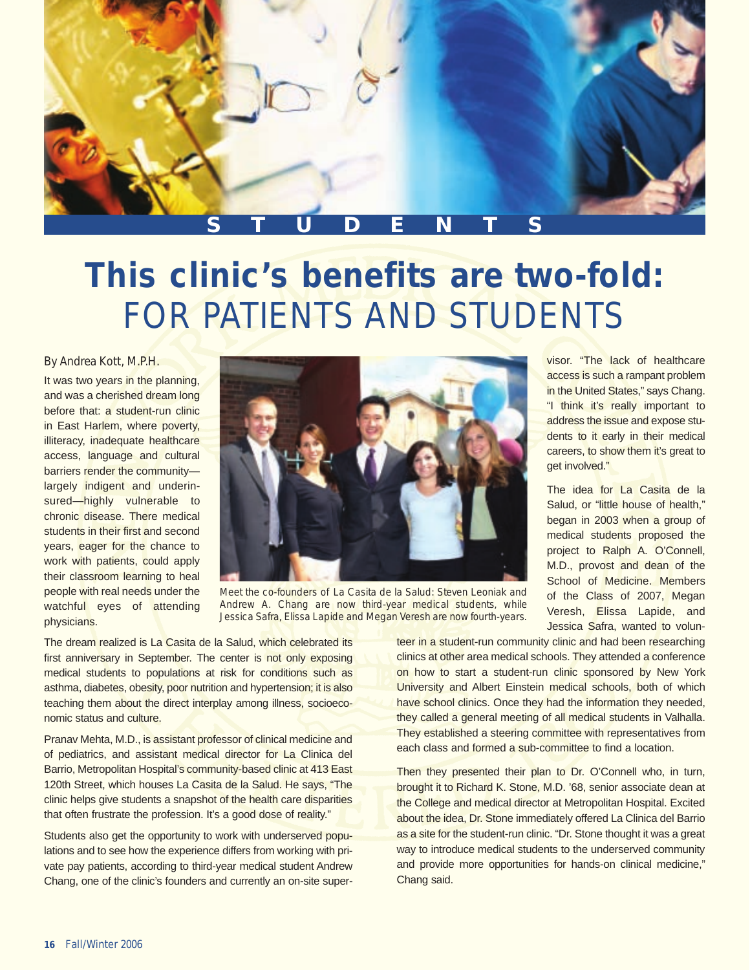

## **This clinic's benefits are two-fold:** FOR PATIENTS AND STUDENTS

## By Andrea Kott, M.P.H.

It was two years in the planning, and was a cherished dream long before that: a student-run clinic in East Harlem, where poverty, illiteracy, inadequate healthcare access, language and cultural barriers render the community largely indigent and underinsured—highly vulnerable to chronic disease. There medical students in their first and second years, eager for the chance to work with patients, could apply their classroom learning to heal people with real needs under the watchful eyes of attending physicians.



Meet the co-founders of La Casita de la Salud: Steven Leoniak and Andrew A. Chang are now third-year medical students, while Jessica Safra, Elissa Lapide and Megan Veresh are now fourth-years.

visor. "The lack of healthcare access is such a rampant problem in the United States," says Chang. "I think it's really important to address the issue and expose students to it early in their medical careers, to show them it's great to get involved."

The idea for La Casita de la Salud, or "little house of health." began in 2003 when a group of medical students proposed the project to Ralph A. O'Connell, M.D., provost and dean of the School of Medicine. Members of the Class of 2007, Megan Veresh, Elissa Lapide, and Jessica Safra, wanted to volun-

The dream realized is La Casita de la Salud, which celebrated its first anniversary in September. The center is not only exposing medical students to populations at risk for conditions such as asthma, diabetes, obesity, poor nutrition and hypertension; it is also teaching them about the direct interplay among illness, socioeconomic status and culture.

Pranav Mehta, M.D., is assistant professor of clinical medicine and of pediatrics, and assistant medical director for La Clinica del Barrio, Metropolitan Hospital's community-based clinic at 413 East 120th Street, which houses La Casita de la Salud. He says, "The clinic helps give students a snapshot of the health care disparities that often frustrate the profession. It's a good dose of reality."

Students also get the opportunity to work with underserved populations and to see how the experience differs from working with private pay patients, according to third-year medical student Andrew Chang, one of the clinic's founders and currently an on-site superteer in a student-run community clinic and had been researching clinics at other area medical schools. They attended a conference on how to start a student-run clinic sponsored by New York University and Albert Einstein medical schools, both of which have school clinics. Once they had the information they needed, they called a general meeting of all medical students in Valhalla. They established a steering committee with representatives from each class and formed a sub-committee to find a location.

Then they presented their plan to Dr. O'Connell who, in turn, brought it to Richard K. Stone, M.D. '68, senior associate dean at the College and medical director at Metropolitan Hospital. Excited about the idea, Dr. Stone immediately offered La Clinica del Barrio as a site for the student-run clinic. "Dr. Stone thought it was a great way to introduce medical students to the underserved community and provide more opportunities for hands-on clinical medicine," Chang said.